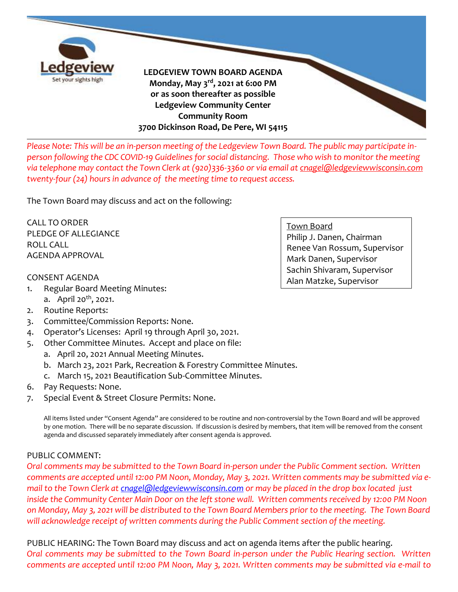

*Please Note: This will be an in-person meeting of the Ledgeview Town Board. The public may participate inperson following the CDC COVID-19 Guidelines for social distancing. Those who wish to monitor the meeting via telephone may contact the Town Clerk at (920)336-3360 or via email at [cnagel@ledgeviewwisconsin.com](mailto:cnagel@ledgeviewwisconsin.com)  twenty-four (24) hours in advance of the meeting time to request access.*

The Town Board may discuss and act on the following:

CALL TO ORDER PLEDGE OF ALLEGIANCE ROLL CALL AGENDA APPROVAL

#### CONSENT AGENDA

- 1. Regular Board Meeting Minutes:
	- a. April 20<sup>th</sup>, 2021.
- 2. Routine Reports:
- 3. Committee/Commission Reports: None.
- 4. Operator's Licenses: April 19 through April 30, 2021.
- 5. Other Committee Minutes. Accept and place on file:
	- a. April 20, 2021 Annual Meeting Minutes.
	- b. March 23, 2021 Park, Recreation & Forestry Committee Minutes.
	- c. March 15, 2021 Beautification Sub-Committee Minutes.
- 6. Pay Requests: None.
- 7. Special Event & Street Closure Permits: None.

All items listed under "Consent Agenda" are considered to be routine and non-controversial by the Town Board and will be approved by one motion. There will be no separate discussion. If discussion is desired by members, that item will be removed from the consent agenda and discussed separately immediately after consent agenda is approved.

### PUBLIC COMMENT:

*Oral comments may be submitted to the Town Board in-person under the Public Comment section. Written comments are accepted until 12:00 PM Noon, Monday, May 3, 2021. Written comments may be submitted via email to the Town Clerk at [cnagel@ledgeviewwisconsin.com](mailto:cnagel@ledgeviewwisconsin.com) or may be placed in the drop box located just inside the Community Center Main Door on the left stone wall. Written comments received by 12:00 PM Noon on Monday, May 3, 2021 will be distributed to the Town Board Members prior to the meeting. The Town Board will acknowledge receipt of written comments during the Public Comment section of the meeting.*

PUBLIC HEARING: The Town Board may discuss and act on agenda items after the public hearing. *Oral comments may be submitted to the Town Board in-person under the Public Hearing section. Written comments are accepted until 12:00 PM Noon, May 3, 2021. Written comments may be submitted via e-mail to* 

Town Board Philip J. Danen, Chairman Renee Van Rossum, Supervisor Mark Danen, Supervisor Sachin Shivaram, Supervisor Alan Matzke, Supervisor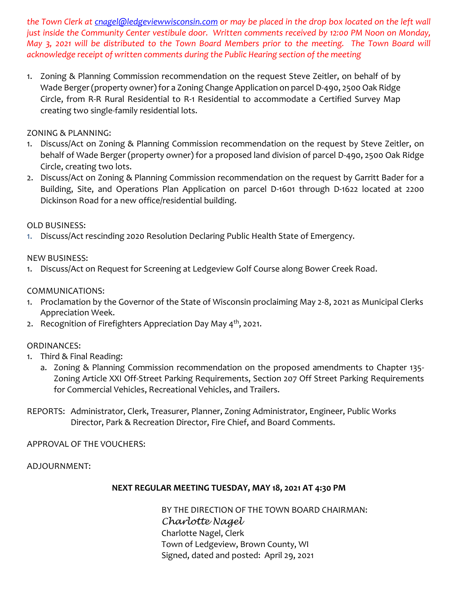*the Town Clerk at [cnagel@ledgeviewwisconsin.com](mailto:cnagel@ledgeviewwisconsin.com) or may be placed in the drop box located on the left wall just inside the Community Center vestibule door. Written comments received by 12:00 PM Noon on Monday, May 3, 2021 will be distributed to the Town Board Members prior to the meeting. The Town Board will acknowledge receipt of written comments during the Public Hearing section of the meeting*

1. Zoning & Planning Commission recommendation on the request Steve Zeitler, on behalf of by Wade Berger (property owner) for a Zoning Change Application on parcel D-490, 2500 Oak Ridge Circle, from R-R Rural Residential to R-1 Residential to accommodate a Certified Survey Map creating two single-family residential lots.

### ZONING & PLANNING:

- 1. Discuss/Act on Zoning & Planning Commission recommendation on the request by Steve Zeitler, on behalf of Wade Berger (property owner) for a proposed land division of parcel D-490, 2500 Oak Ridge Circle, creating two lots.
- 2. Discuss/Act on Zoning & Planning Commission recommendation on the request by Garritt Bader for a Building, Site, and Operations Plan Application on parcel D-1601 through D-1622 located at 2200 Dickinson Road for a new office/residential building.

## OLD BUSINESS:

1. Discuss/Act rescinding 2020 Resolution Declaring Public Health State of Emergency.

## NEW BUSINESS:

1. Discuss/Act on Request for Screening at Ledgeview Golf Course along Bower Creek Road.

## COMMUNICATIONS:

- 1. Proclamation by the Governor of the State of Wisconsin proclaiming May 2-8, 2021 as Municipal Clerks Appreciation Week.
- 2. Recognition of Firefighters Appreciation Day May 4<sup>th</sup>, 2021.

# ORDINANCES:

- 1. Third & Final Reading:
	- a. Zoning & Planning Commission recommendation on the proposed amendments to Chapter 135- Zoning Article XXI Off-Street Parking Requirements, Section 207 Off Street Parking Requirements for Commercial Vehicles, Recreational Vehicles, and Trailers.
- REPORTS: Administrator, Clerk, Treasurer, Planner, Zoning Administrator, Engineer, Public Works Director, Park & Recreation Director, Fire Chief, and Board Comments.

# APPROVAL OF THE VOUCHERS:

### ADJOURNMENT:

### **NEXT REGULAR MEETING TUESDAY, MAY 18, 2021 AT 4:30 PM**

BY THE DIRECTION OF THE TOWN BOARD CHAIRMAN: *Charlotte Nagel* Charlotte Nagel, Clerk Town of Ledgeview, Brown County, WI Signed, dated and posted: April 29, 2021